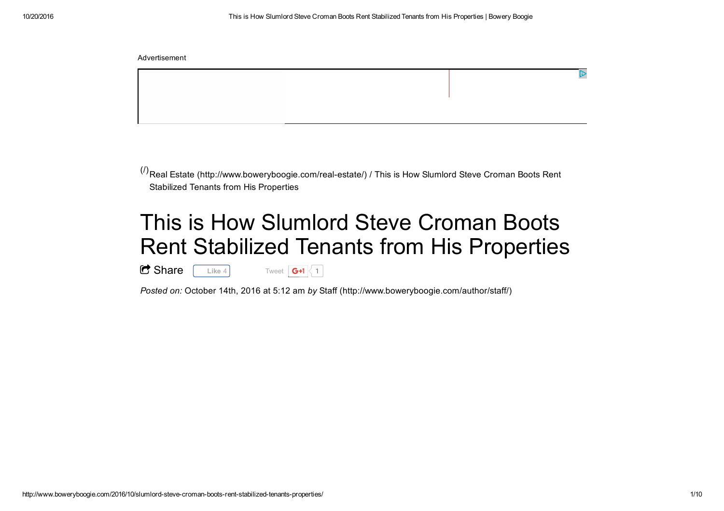$^{(\prime)}$ Real Estate (http://www.boweryboogie.com/real-estate/) / This is How Slumlord Steve Croman Boots Rent Stabilized Tenants from His Properties

## This is How Slumlord Steve Croman BootsRent Stabilized Tenants from His Properties

C Share **Like** 4 Tweet  $G+1$  1

*Posted on:* October 14th, 2016 at 5:12 am *by* Staff (http://www.boweryboogie.com/author/staff/)

Advertisement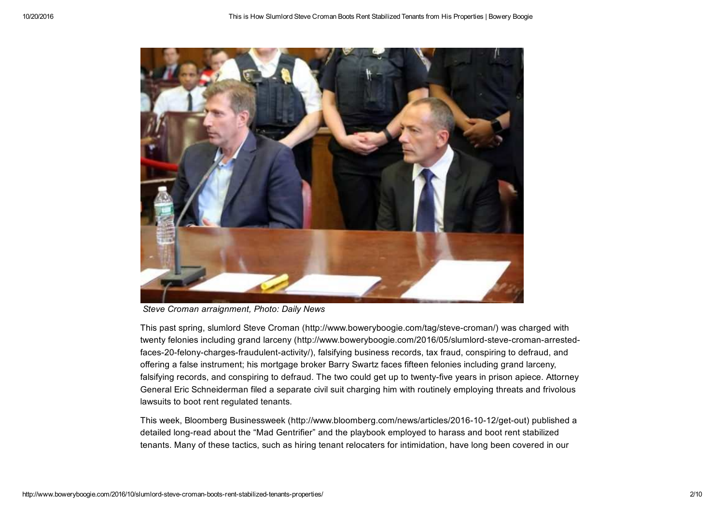

*Steve Croman arraignment, Photo: Daily News*

This past spring, slumlord Steve Croman (http://www.boweryboogie.com/tag/steve-croman/) was charged with twenty felonies including grand larceny (http://www.boweryboogie.com/2016/05/slumlord-steve-croman-arrestedfaces-20-felony-charges-fraudulent-activity/), falsifying business records, tax fraud, conspiring to defraud, andoffering a false instrument; his mortgage broker Barry Swartz faces fifteen felonies including grand larceny,falsifying records, and conspiring to defraud. The two could get up to twenty-five years in prison apiece. Attorney General Eric Schneiderman filed a separate civil suit charging him with routinely employing threats and frivolouslawsuits to boot rent regulated tenants.

This week, Bloomberg Businessweek (http://www.bloomberg.com/news/articles/2016-10-12/get-out) published adetailed long-read about the "Mad Gentrifier" and the playbook employed to harass and boot rent stabilizedtenants. Many of these tactics, such as hiring tenant relocaters for intimidation, have long been covered in our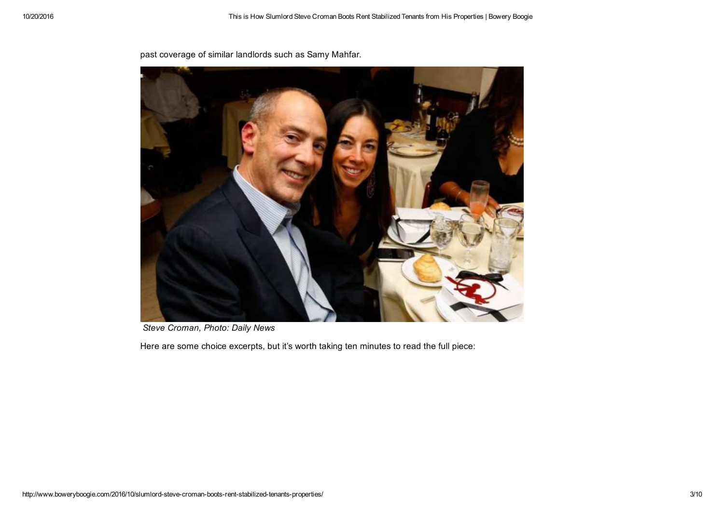

past coverage of similar landlords such as Samy Mahfar.

*Steve Croman, Photo: Daily News*

Here are some choice excerpts, but it's worth taking ten minutes to read the full piece: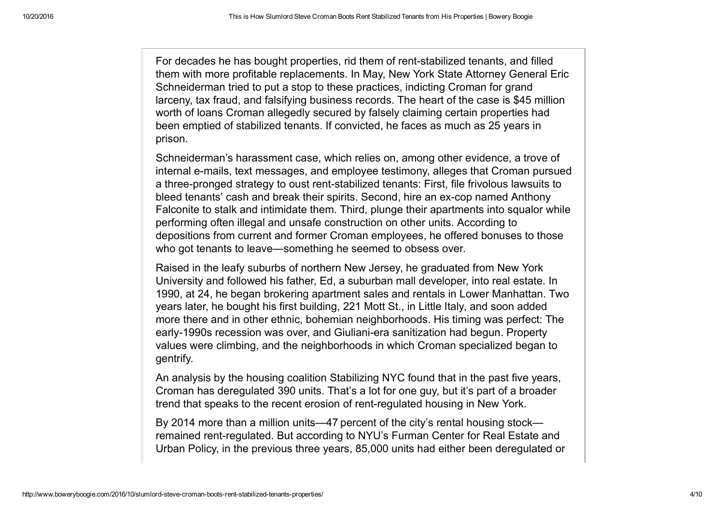For decades he has bought properties, rid them of rent-stabilized tenants, and filled them with more profitable replacements. In May, New York State Attorney General EricSchneiderman tried to put a stop to these practices, indicting Croman for grand larceny, tax fraud, and falsifying business records. The heart of the case is \$45 millionworth of loans Croman allegedly secured by falsely claiming certain properties hadbeen emptied of stabilized tenants. If convicted, he faces as much as 25 years inprison.

Schneiderman's harassment case, which relies on, among other evidence, a trove of internal e-mails, text messages, and employee testimony, alleges that Croman pursueda three-pronged strategy to oust rent-stabilized tenants: First, file frivolous lawsuits tobleed tenants' cash and break their spirits. Second, hire an ex-cop named Anthony Falconite to stalk and intimidate them. Third, plunge their apartments into squalor whileperforming often illegal and unsafe construction on other units. According to depositions from current and former Croman employees, he offered bonuses to thosewho got tenants to leave—something he seemed to obsess over.

Raised in the leafy suburbs of northern New Jersey, he graduated from New York University and followed his father, Ed, a suburban mall developer, into real estate. In 1990, at 24, he began brokering apartment sales and rentals in Lower Manhattan. Twoyears later, he bought his first building, 221 Mott St., in Little Italy, and soon added more there and in other ethnic, bohemian neighborhoods. His timing was perfect: Theearly-1990s recession was over, and Giuliani-era sanitization had begun. Property values were climbing, and the neighborhoods in which Croman specialized began togentrify.

An analysis by the housing coalition Stabilizing NYC found that in the past five years,Croman has deregulated 390 units. That's a lot for one guy, but it's part of a broadertrend that speaks to the recent erosion of rent-regulated housing in New York.

By 2014 more than a million units—47 percent of the city's rental housing stock remained rent-regulated. But according to NYU's Furman Center for Real Estate andUrban Policy, in the previous three years, 85,000 units had either been deregulated or